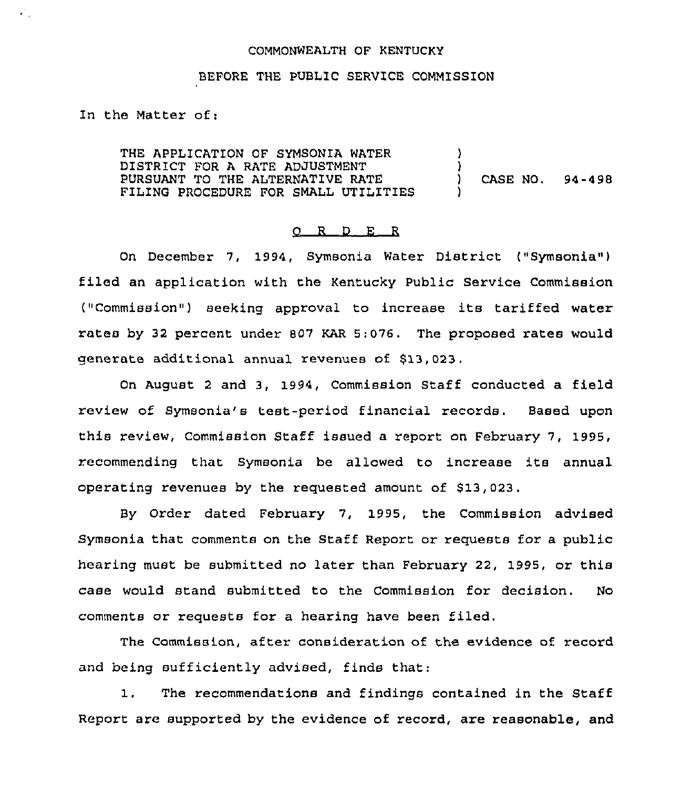## COMMONWEALTH OF KENTUCKY

## BEFORE THE PUBLIC SERVICE COMMISSION

In the Matter of:

УÜ.

THE APPLICATION OF SYMSONIA WATER DISTRICT FOR A RATE ADJUSTMENT PURSUANT TO THE ALTERNATIVE RATE FILING PROCEDURE FOR SMALL UTILITIES ) )<br>) ) CASE NO. 94-498 )

## O R D E R

On December 7, 1994, Symsonia Water District ("Symsonia") filed an application with the Kentucky Public Service Commission ("Commission") seeking approval to increase its tariffed water rates by 32 percent under 807 KAR 5:076. The proposed rates would generate additional annual revenues of \$13,023.

On August <sup>2</sup> and 3, 1994, Commission Staff conducted a field review of Symsonia's test-period financial records. Based upon this review, Commission Staff issued a report on February 7, 1995, recommending that Symsonia be allowed to increase ite annual operating revenues by the requested amount of \$13,023.

By Order dated February 7, 1995, the Commission advised Symsonia that comments on the Staff Report or requests for a public hearing must be submitted no later than February 22, 1995, or this case would stand submitted to the Commission for decision. No comments or requests for a hearing have been filed.

The Commission, after consideration of the evidence of record and being sufficiently advised, finds that:

1. The recommendations and findings contained in the Staff Report are supported by the evidence of record, are reasonable, and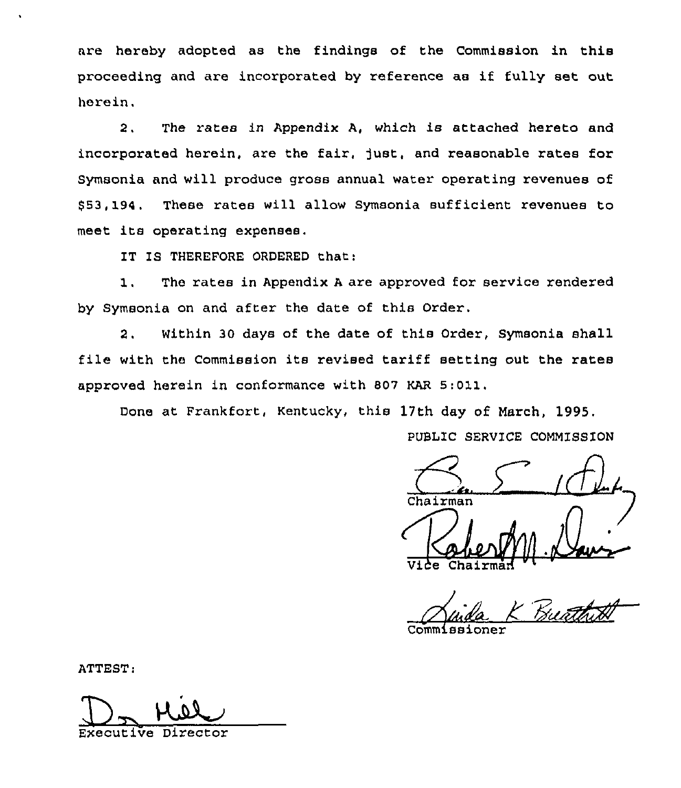are hereby adopted as the findings of the Commission in this proceeding and are incorporated by reference as if fully set out herein.

2. The rates in Appendix A, which is attached hereto and incorporated herein, are the fair, just, and reasonable rates for Symsonia and will produce gross annual water operating revenues of \$ 53, 194. These rates will allow Symsonia sufficient revenues to meet its operating expenses.

IT IS THEREFORE ORDERED that:

1, The rates in Appendix <sup>A</sup> are approved for service rendered by Symsonia on and after the date of this Order.

2. Within 30 days of the date of this Order, Symsonia shall file with the Commission its revised tariff setting out the rates approved herein in conformance with 807 KAR 5:011,

Done at Frankfort, Kentucky, this 17th day of March, 1995.

PUBLIC SERVICE COMM1SSION

Chairman  $\frac{1}{2}$ 

 $Vide$ Chairmad  $W$ 

R., <del>al s</del>

Commissioner

ATTEST:

 $\overline{\mathcal{D}}$ Executive Director